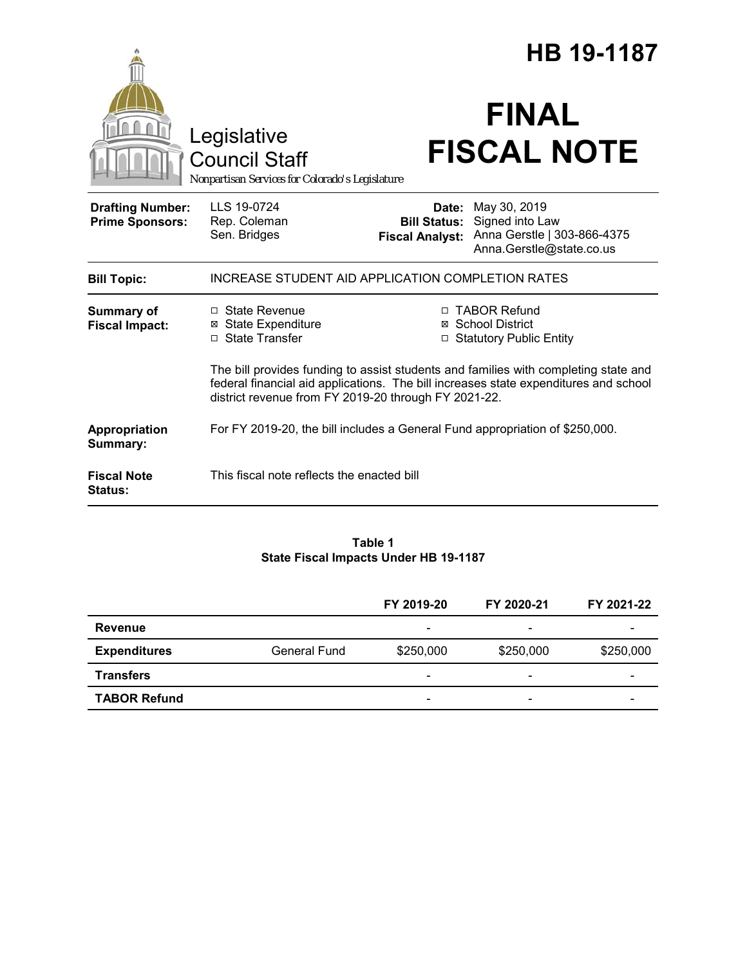|                                                   |                                                                                                                                                                                                                                     | HB 19-1187                                    |                                                                                                         |  |  |
|---------------------------------------------------|-------------------------------------------------------------------------------------------------------------------------------------------------------------------------------------------------------------------------------------|-----------------------------------------------|---------------------------------------------------------------------------------------------------------|--|--|
|                                                   | Legislative<br><b>Council Staff</b><br>Nonpartisan Services for Colorado's Legislature                                                                                                                                              |                                               | <b>FINAL</b><br><b>FISCAL NOTE</b>                                                                      |  |  |
| <b>Drafting Number:</b><br><b>Prime Sponsors:</b> | LLS 19-0724<br>Rep. Coleman<br>Sen. Bridges                                                                                                                                                                                         | <b>Bill Status:</b><br><b>Fiscal Analyst:</b> | <b>Date: May 30, 2019</b><br>Signed into Law<br>Anna Gerstle   303-866-4375<br>Anna.Gerstle@state.co.us |  |  |
| <b>Bill Topic:</b>                                | INCREASE STUDENT AID APPLICATION COMPLETION RATES                                                                                                                                                                                   |                                               |                                                                                                         |  |  |
| <b>Summary of</b><br><b>Fiscal Impact:</b>        | □ State Revenue<br><b>⊠</b> State Expenditure<br>□ State Transfer                                                                                                                                                                   |                                               | □ TABOR Refund<br>⊠ School District<br>□ Statutory Public Entity                                        |  |  |
|                                                   | The bill provides funding to assist students and families with completing state and<br>federal financial aid applications. The bill increases state expenditures and school<br>district revenue from FY 2019-20 through FY 2021-22. |                                               |                                                                                                         |  |  |
| Appropriation<br>Summary:                         | For FY 2019-20, the bill includes a General Fund appropriation of \$250,000.                                                                                                                                                        |                                               |                                                                                                         |  |  |
| <b>Fiscal Note</b><br>Status:                     | This fiscal note reflects the enacted bill                                                                                                                                                                                          |                                               |                                                                                                         |  |  |

#### **Table 1 State Fiscal Impacts Under HB 19-1187**

|                     |                     | FY 2019-20                   | FY 2020-21               | FY 2021-22 |
|---------------------|---------------------|------------------------------|--------------------------|------------|
| Revenue             |                     | $\qquad \qquad \blacksquare$ | $\overline{\phantom{0}}$ |            |
| <b>Expenditures</b> | <b>General Fund</b> | \$250,000                    | \$250,000                | \$250,000  |
| <b>Transfers</b>    |                     | $\overline{\phantom{a}}$     | $\overline{\phantom{0}}$ |            |
| <b>TABOR Refund</b> |                     | $\overline{\phantom{a}}$     | $\overline{\phantom{0}}$ |            |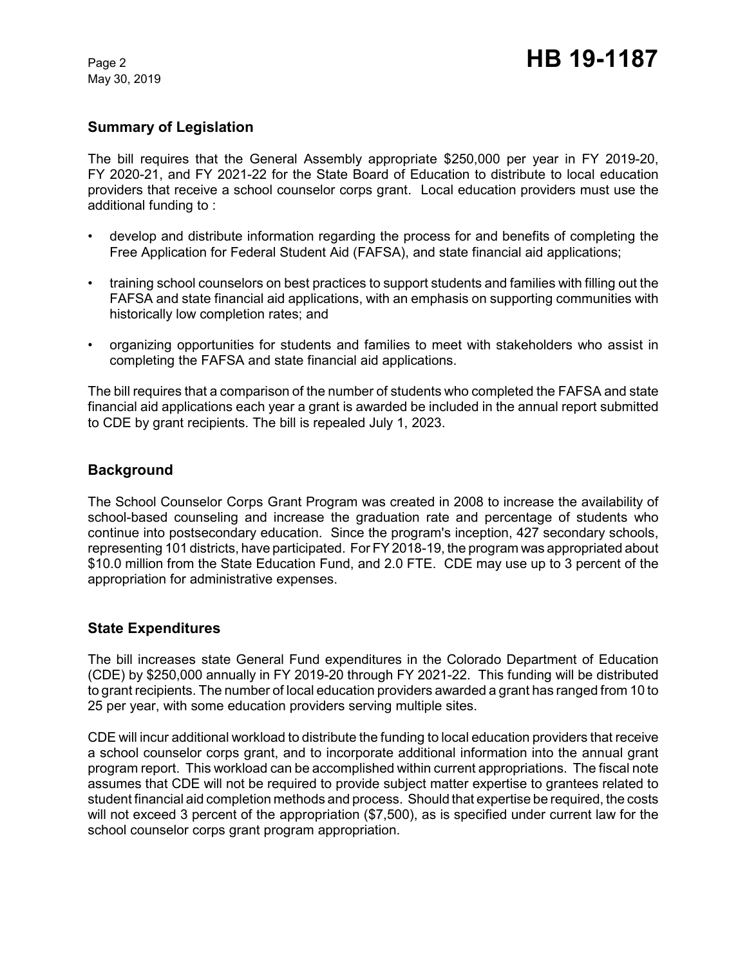May 30, 2019

# **Summary of Legislation**

The bill requires that the General Assembly appropriate \$250,000 per year in FY 2019-20, FY 2020-21, and FY 2021-22 for the State Board of Education to distribute to local education providers that receive a school counselor corps grant. Local education providers must use the additional funding to :

- develop and distribute information regarding the process for and benefits of completing the Free Application for Federal Student Aid (FAFSA), and state financial aid applications;
- training school counselors on best practices to support students and families with filling out the FAFSA and state financial aid applications, with an emphasis on supporting communities with historically low completion rates; and
- organizing opportunities for students and families to meet with stakeholders who assist in completing the FAFSA and state financial aid applications.

The bill requires that a comparison of the number of students who completed the FAFSA and state financial aid applications each year a grant is awarded be included in the annual report submitted to CDE by grant recipients. The bill is repealed July 1, 2023.

## **Background**

The School Counselor Corps Grant Program was created in 2008 to increase the availability of school-based counseling and increase the graduation rate and percentage of students who continue into postsecondary education. Since the program's inception, 427 secondary schools, representing 101 districts, have participated. For FY 2018-19, the program was appropriated about \$10.0 million from the State Education Fund, and 2.0 FTE. CDE may use up to 3 percent of the appropriation for administrative expenses.

### **State Expenditures**

The bill increases state General Fund expenditures in the Colorado Department of Education (CDE) by \$250,000 annually in FY 2019-20 through FY 2021-22. This funding will be distributed to grant recipients. The number of local education providers awarded a grant has ranged from 10 to 25 per year, with some education providers serving multiple sites.

CDE will incur additional workload to distribute the funding to local education providers that receive a school counselor corps grant, and to incorporate additional information into the annual grant program report. This workload can be accomplished within current appropriations. The fiscal note assumes that CDE will not be required to provide subject matter expertise to grantees related to student financial aid completion methods and process. Should that expertise be required, the costs will not exceed 3 percent of the appropriation (\$7,500), as is specified under current law for the school counselor corps grant program appropriation.